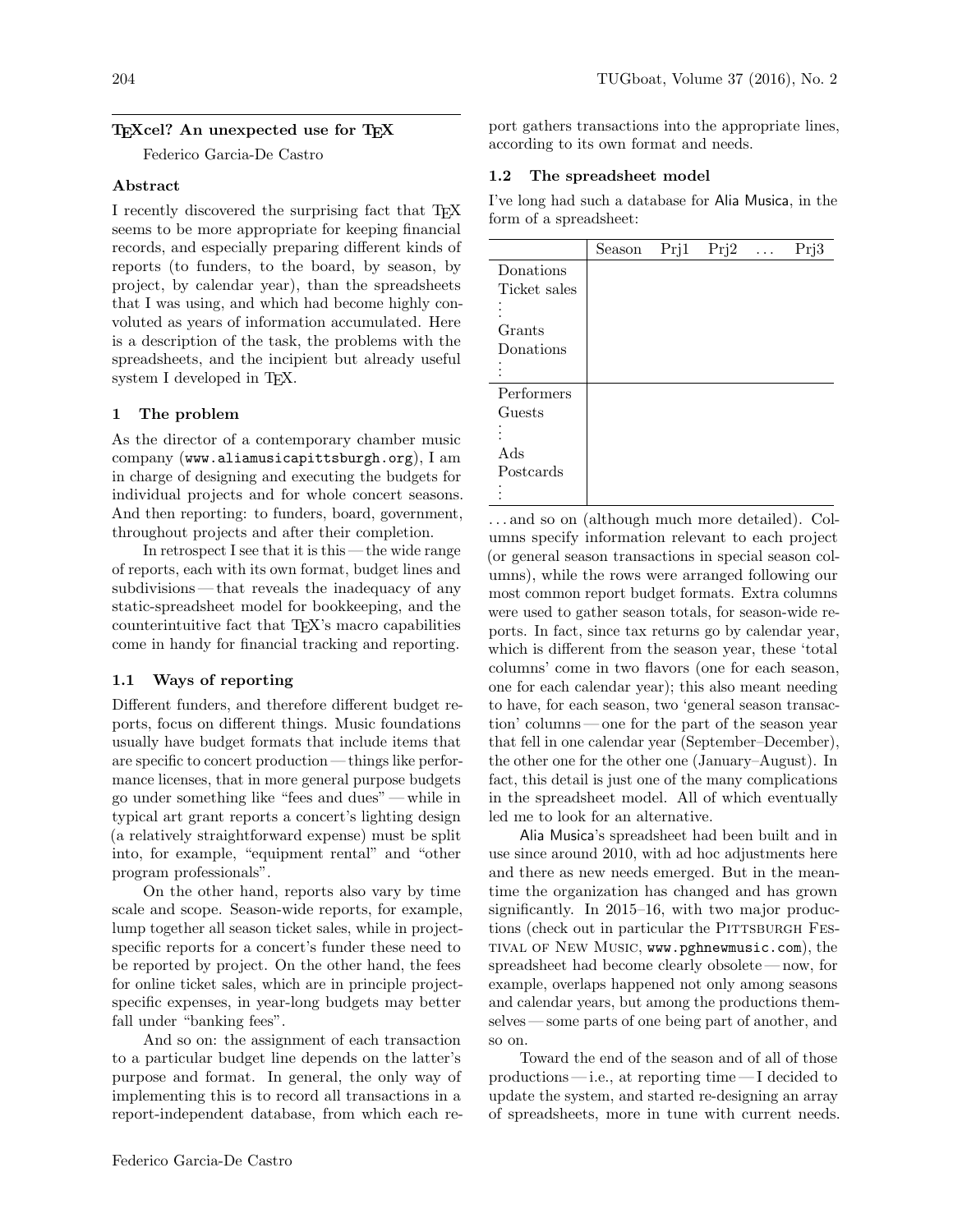# T<sub>F</sub>Xcel? An unexpected use for T<sub>F</sub>X

Federico Garcia-De Castro

## Abstract

I recently discovered the surprising fact that TEX seems to be more appropriate for keeping financial records, and especially preparing different kinds of reports (to funders, to the board, by season, by project, by calendar year), than the spreadsheets that I was using, and which had become highly convoluted as years of information accumulated. Here is a description of the task, the problems with the spreadsheets, and the incipient but already useful system I developed in T<sub>F</sub>X.

# 1 The problem

As the director of a contemporary chamber music company (www.aliamusicapittsburgh.org), I am in charge of designing and executing the budgets for individual projects and for whole concert seasons. And then reporting: to funders, board, government, throughout projects and after their completion.

In retrospect I see that it is this — the wide range of reports, each with its own format, budget lines and subdivisions— that reveals the inadequacy of any static-spreadsheet model for bookkeeping, and the counterintuitive fact that TEX's macro capabilities come in handy for financial tracking and reporting.

# 1.1 Ways of reporting

Different funders, and therefore different budget reports, focus on different things. Music foundations usually have budget formats that include items that are specific to concert production — things like performance licenses, that in more general purpose budgets go under something like "fees and dues"— while in typical art grant reports a concert's lighting design (a relatively straightforward expense) must be split into, for example, "equipment rental" and "other program professionals".

On the other hand, reports also vary by time scale and scope. Season-wide reports, for example, lump together all season ticket sales, while in projectspecific reports for a concert's funder these need to be reported by project. On the other hand, the fees for online ticket sales, which are in principle projectspecific expenses, in year-long budgets may better fall under "banking fees".

And so on: the assignment of each transaction to a particular budget line depends on the latter's purpose and format. In general, the only way of implementing this is to record all transactions in a report-independent database, from which each re-

port gathers transactions into the appropriate lines, according to its own format and needs.

# 1.2 The spreadsheet model

I've long had such a database for Alia Musica, in the form of a spreadsheet:

|              | Season | Prj1 | Prj2 | $\ldots$ | Prj3 |
|--------------|--------|------|------|----------|------|
| Donations    |        |      |      |          |      |
| Ticket sales |        |      |      |          |      |
|              |        |      |      |          |      |
| Grants       |        |      |      |          |      |
| Donations    |        |      |      |          |      |
|              |        |      |      |          |      |
| Performers   |        |      |      |          |      |
| Guests       |        |      |      |          |      |
|              |        |      |      |          |      |
| Ads          |        |      |      |          |      |
| Postcards    |        |      |      |          |      |
|              |        |      |      |          |      |

. . . and so on (although much more detailed). Columns specify information relevant to each project (or general season transactions in special season columns), while the rows were arranged following our most common report budget formats. Extra columns were used to gather season totals, for season-wide reports. In fact, since tax returns go by calendar year, which is different from the season year, these 'total columns' come in two flavors (one for each season, one for each calendar year); this also meant needing to have, for each season, two 'general season transaction' columns— one for the part of the season year that fell in one calendar year (September–December), the other one for the other one (January–August). In fact, this detail is just one of the many complications in the spreadsheet model. All of which eventually led me to look for an alternative.

Alia Musica's spreadsheet had been built and in use since around 2010, with ad hoc adjustments here and there as new needs emerged. But in the meantime the organization has changed and has grown significantly. In 2015–16, with two major productions (check out in particular the PITTSBURGH FEStival of New Music, www.pghnewmusic.com), the spreadsheet had become clearly obsolete — now, for example, overlaps happened not only among seasons and calendar years, but among the productions themselves — some parts of one being part of another, and so on.

Toward the end of the season and of all of those productions— i.e., at reporting time— I decided to update the system, and started re-designing an array of spreadsheets, more in tune with current needs.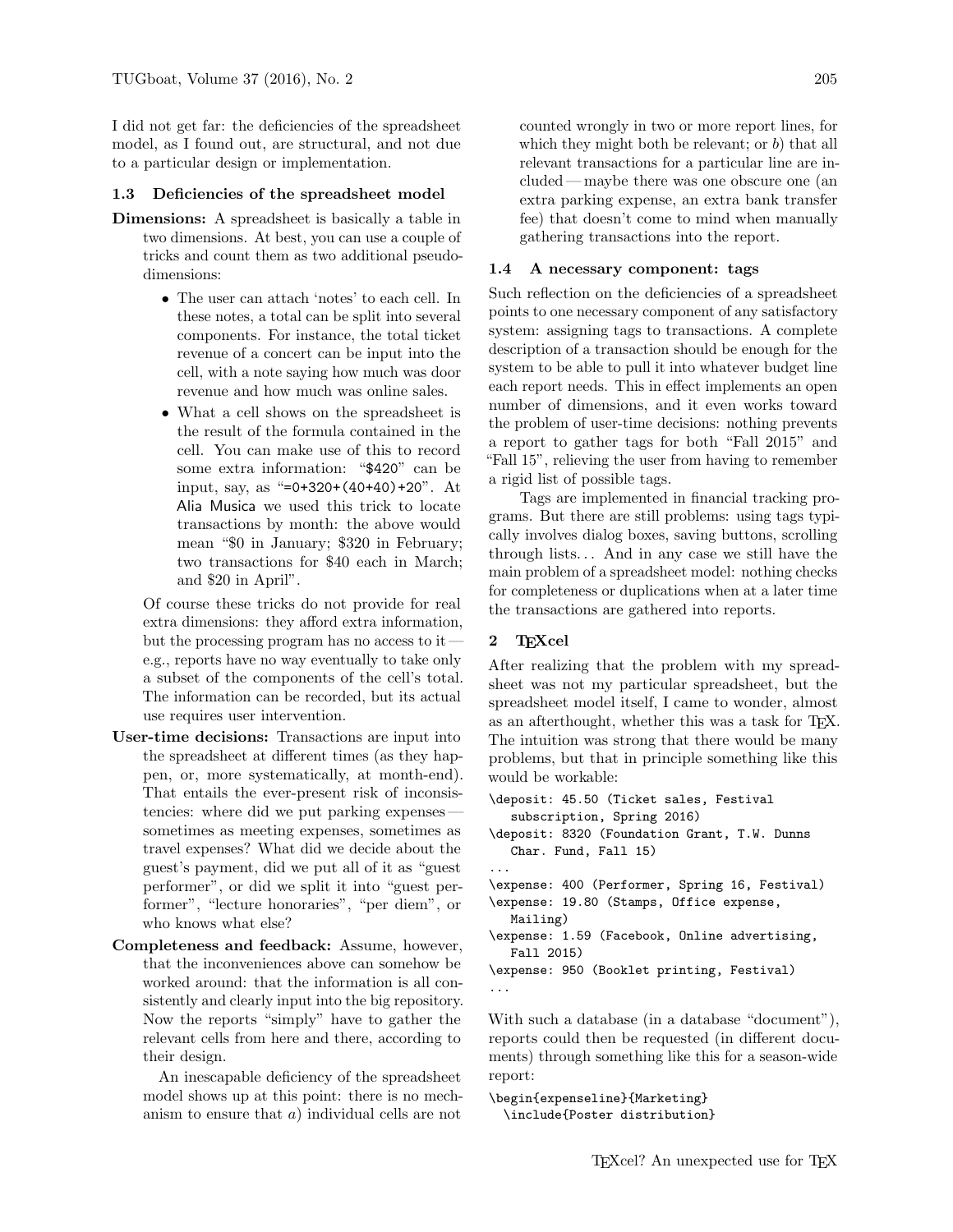I did not get far: the deficiencies of the spreadsheet model, as I found out, are structural, and not due to a particular design or implementation.

#### 1.3 Deficiencies of the spreadsheet model

- Dimensions: A spreadsheet is basically a table in two dimensions. At best, you can use a couple of tricks and count them as two additional pseudodimensions:
	- The user can attach 'notes' to each cell. In these notes, a total can be split into several components. For instance, the total ticket revenue of a concert can be input into the cell, with a note saying how much was door revenue and how much was online sales.
	- What a cell shows on the spreadsheet is the result of the formula contained in the cell. You can make use of this to record some extra information: "\$420" can be input, say, as "=0+320+(40+40)+20". At Alia Musica we used this trick to locate transactions by month: the above would mean "\$0 in January; \$320 in February; two transactions for \$40 each in March; and \$20 in April".

Of course these tricks do not provide for real extra dimensions: they afford extra information, but the processing program has no access to it e.g., reports have no way eventually to take only a subset of the components of the cell's total. The information can be recorded, but its actual use requires user intervention.

- User-time decisions: Transactions are input into the spreadsheet at different times (as they happen, or, more systematically, at month-end). That entails the ever-present risk of inconsistencies: where did we put parking expenses sometimes as meeting expenses, sometimes as travel expenses? What did we decide about the guest's payment, did we put all of it as "guest performer", or did we split it into "guest performer", "lecture honoraries", "per diem", or who knows what else?
- Completeness and feedback: Assume, however, that the inconveniences above can somehow be worked around: that the information is all consistently and clearly input into the big repository. Now the reports "simply" have to gather the relevant cells from here and there, according to their design.

An inescapable deficiency of the spreadsheet model shows up at this point: there is no mechanism to ensure that a) individual cells are not counted wrongly in two or more report lines, for which they might both be relevant; or  $b$ ) that all relevant transactions for a particular line are included — maybe there was one obscure one (an extra parking expense, an extra bank transfer fee) that doesn't come to mind when manually gathering transactions into the report.

#### 1.4 A necessary component: tags

Such reflection on the deficiencies of a spreadsheet points to one necessary component of any satisfactory system: assigning tags to transactions. A complete description of a transaction should be enough for the system to be able to pull it into whatever budget line each report needs. This in effect implements an open number of dimensions, and it even works toward the problem of user-time decisions: nothing prevents a report to gather tags for both "Fall 2015" and "Fall 15", relieving the user from having to remember a rigid list of possible tags.

Tags are implemented in financial tracking programs. But there are still problems: using tags typically involves dialog boxes, saving buttons, scrolling through lists... And in any case we still have the main problem of a spreadsheet model: nothing checks for completeness or duplications when at a later time the transactions are gathered into reports.

### 2 TEXcel

After realizing that the problem with my spreadsheet was not my particular spreadsheet, but the spreadsheet model itself, I came to wonder, almost as an afterthought, whether this was a task for TFX. The intuition was strong that there would be many problems, but that in principle something like this would be workable:

```
\deposit: 45.50 (Ticket sales, Festival
  subscription, Spring 2016)
\deposit: 8320 (Foundation Grant, T.W. Dunns
  Char. Fund, Fall 15)
...
\expense: 400 (Performer, Spring 16, Festival)
\expense: 19.80 (Stamps, Office expense,
  Mailing)
\expense: 1.59 (Facebook, Online advertising,
  Fall 2015)
\expense: 950 (Booklet printing, Festival)
...
```
With such a database (in a database "document"), reports could then be requested (in different documents) through something like this for a season-wide report:

```
\begin{expenseline}{Marketing}
  \include{Poster distribution}
```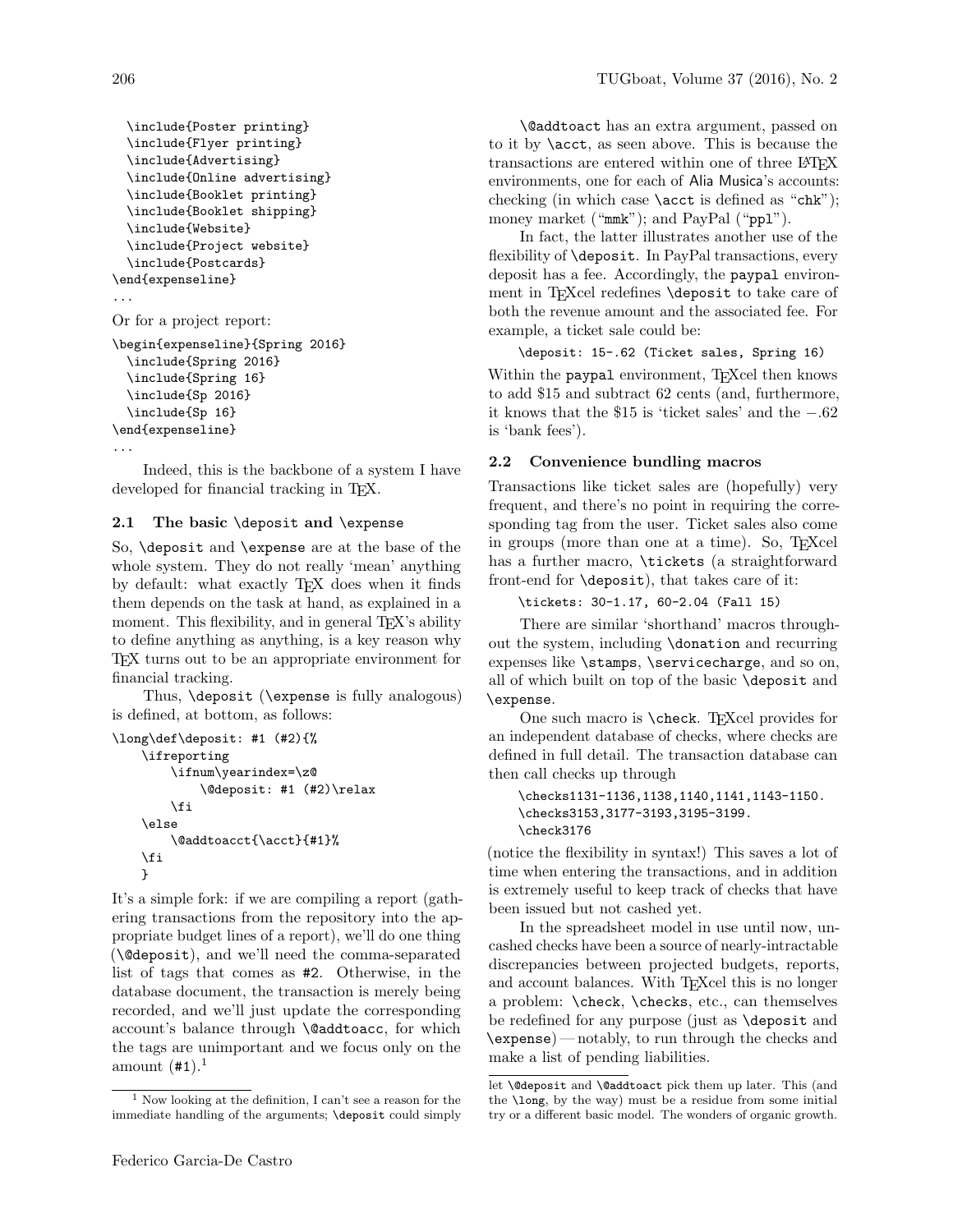```
\include{Poster printing}
  \include{Flyer printing}
  \include{Advertising}
  \include{Online advertising}
  \include{Booklet printing}
  \include{Booklet shipping}
  \include{Website}
  \include{Project website}
  \include{Postcards}
\end{expenseline}
...
Or for a project report:
\begin{expenseline}{Spring 2016}
  \include{Spring 2016}
  \include{Spring 16}
  \include{Sp 2016}
  \include{Sp 16}
\end{expenseline}
```

```
...
```
Indeed, this is the backbone of a system I have developed for financial tracking in T<sub>E</sub>X.

### 2.1 The basic \deposit and \expense

So, \deposit and \expense are at the base of the whole system. They do not really 'mean' anything by default: what exactly TEX does when it finds them depends on the task at hand, as explained in a moment. This flexibility, and in general T<sub>EX</sub>'s ability to define anything as anything, is a key reason why TEX turns out to be an appropriate environment for financial tracking.

Thus, \deposit (\expense is fully analogous) is defined, at bottom, as follows:

```
\long\def\deposit: #1 (#2){%
    \ifreporting
        \ifnum\yearindex=\z@
            \@deposit: #1 (#2)\relax
        \fi
   \else
        \@addtoacct{\acct}{#1}%
   \fi
   }
```
It's a simple fork: if we are compiling a report (gathering transactions from the repository into the appropriate budget lines of a report), we'll do one thing (\@deposit), and we'll need the comma-separated list of tags that comes as #2. Otherwise, in the database document, the transaction is merely being recorded, and we'll just update the corresponding account's balance through \@addtoacc, for which the tags are unimportant and we focus only on the amount  $(\texttt{\#1})$ .<sup>1</sup>

\@addtoact has an extra argument, passed on to it by \acct, as seen above. This is because the transactions are entered within one of three LAT<sub>EX</sub> environments, one for each of Alia Musica's accounts: checking (in which case  $\text{icot}$  is defined as "chk"); money market ("mmk"); and PayPal ("ppl").

In fact, the latter illustrates another use of the flexibility of **\deposit**. In PayPal transactions, every deposit has a fee. Accordingly, the paypal environment in TFXcel redefines \deposit to take care of both the revenue amount and the associated fee. For example, a ticket sale could be:

```
\deposit: 15-.62 (Ticket sales, Spring 16)
```
Within the paypal environment, TFXcel then knows to add \$15 and subtract 62 cents (and, furthermore, it knows that the \$15 is 'ticket sales' and the −.62 is 'bank fees').

# 2.2 Convenience bundling macros

Transactions like ticket sales are (hopefully) very frequent, and there's no point in requiring the corresponding tag from the user. Ticket sales also come in groups (more than one at a time). So, TEXcel has a further macro, \tickets (a straightforward front-end for \deposit), that takes care of it:

```
\tickets: 30-1.17, 60-2.04 (Fall 15)
```
There are similar 'shorthand' macros throughout the system, including \donation and recurring expenses like \stamps, \servicecharge, and so on, all of which built on top of the basic \deposit and \expense.

One such macro is **\check**. T<sub>E</sub>Xcel provides for an independent database of checks, where checks are defined in full detail. The transaction database can then call checks up through

```
\checks1131-1136,1138,1140,1141,1143-1150.
\checks3153,3177-3193,3195-3199.
\check3176
```
(notice the flexibility in syntax!) This saves a lot of time when entering the transactions, and in addition is extremely useful to keep track of checks that have been issued but not cashed yet.

In the spreadsheet model in use until now, uncashed checks have been a source of nearly-intractable discrepancies between projected budgets, reports, and account balances. With T<sub>E</sub>Xcel this is no longer a problem: \check, \checks, etc., can themselves be redefined for any purpose (just as \deposit and \expense) — notably, to run through the checks and make a list of pending liabilities.

<sup>&</sup>lt;sup>1</sup> Now looking at the definition, I can't see a reason for the immediate handling of the arguments; \deposit could simply

let \@deposit and \@addtoact pick them up later. This (and the \long, by the way) must be a residue from some initial try or a different basic model. The wonders of organic growth.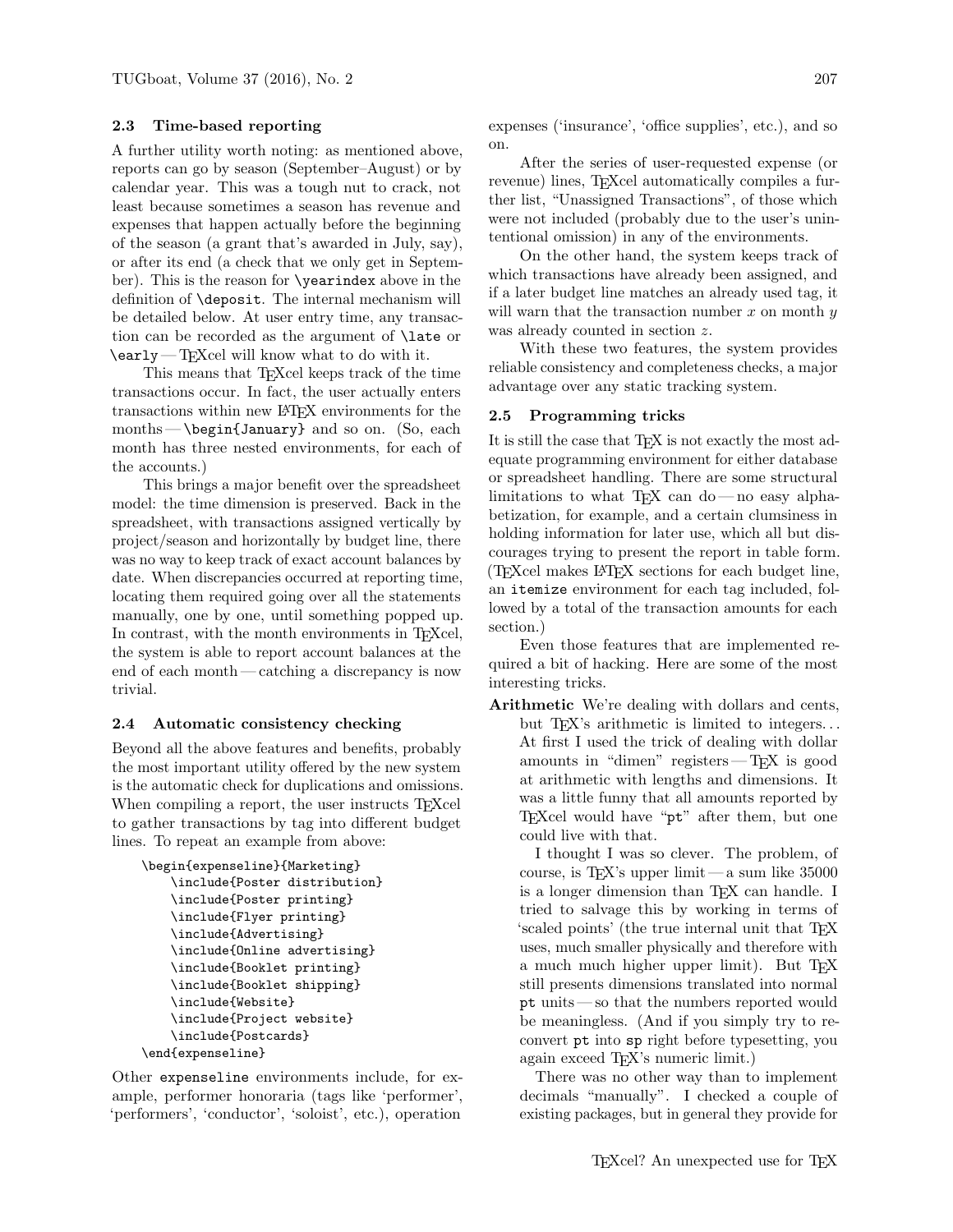## 2.3 Time-based reporting

A further utility worth noting: as mentioned above, reports can go by season (September–August) or by calendar year. This was a tough nut to crack, not least because sometimes a season has revenue and expenses that happen actually before the beginning of the season (a grant that's awarded in July, say), or after its end (a check that we only get in September). This is the reason for \yearindex above in the definition of \deposit. The internal mechanism will be detailed below. At user entry time, any transaction can be recorded as the argument of \late or  $\text{/early}$ — T<sub>E</sub>Xcel will know what to do with it.

This means that T<sub>E</sub>Xcel keeps track of the time transactions occur. In fact, the user actually enters transactions within new LATEX environments for the months—\begin{January} and so on. (So, each month has three nested environments, for each of the accounts.)

This brings a major benefit over the spreadsheet model: the time dimension is preserved. Back in the spreadsheet, with transactions assigned vertically by project/season and horizontally by budget line, there was no way to keep track of exact account balances by date. When discrepancies occurred at reporting time, locating them required going over all the statements manually, one by one, until something popped up. In contrast, with the month environments in T<sub>E</sub>Xcel, the system is able to report account balances at the end of each month— catching a discrepancy is now trivial.

#### 2.4 Automatic consistency checking

Beyond all the above features and benefits, probably the most important utility offered by the new system is the automatic check for duplications and omissions. When compiling a report, the user instructs T<sub>EXcel</sub> to gather transactions by tag into different budget lines. To repeat an example from above:

```
\begin{expenseline}{Marketing}
    \include{Poster distribution}
    \include{Poster printing}
    \include{Flyer printing}
    \include{Advertising}
    \include{Online advertising}
    \include{Booklet printing}
    \include{Booklet shipping}
    \include{Website}
    \include{Project website}
    \include{Postcards}
\end{expenseline}
```
Other expenseline environments include, for example, performer honoraria (tags like 'performer', 'performers', 'conductor', 'soloist', etc.), operation

expenses ('insurance', 'office supplies', etc.), and so on.

After the series of user-requested expense (or revenue) lines, TFXcel automatically compiles a further list, "Unassigned Transactions", of those which were not included (probably due to the user's unintentional omission) in any of the environments.

On the other hand, the system keeps track of which transactions have already been assigned, and if a later budget line matches an already used tag, it will warn that the transaction number x on month  $y$ was already counted in section z.

With these two features, the system provides reliable consistency and completeness checks, a major advantage over any static tracking system.

#### 2.5 Programming tricks

It is still the case that T<sub>E</sub>X is not exactly the most adequate programming environment for either database or spreadsheet handling. There are some structural limitations to what T<sub>E</sub>X can do—no easy alphabetization, for example, and a certain clumsiness in holding information for later use, which all but discourages trying to present the report in table form. (TEXcel makes LATEX sections for each budget line, an itemize environment for each tag included, followed by a total of the transaction amounts for each section.)

Even those features that are implemented required a bit of hacking. Here are some of the most interesting tricks.

Arithmetic We're dealing with dollars and cents, but T<sub>E</sub>X's arithmetic is limited to integers... At first I used the trick of dealing with dollar amounts in "dimen" registers— TEX is good at arithmetic with lengths and dimensions. It was a little funny that all amounts reported by TEXcel would have "pt" after them, but one could live with that.

I thought I was so clever. The problem, of course, is TEX's upper limit — a sum like 35000 is a longer dimension than TEX can handle. I tried to salvage this by working in terms of 'scaled points' (the true internal unit that TEX uses, much smaller physically and therefore with a much much higher upper limit). But TFX still presents dimensions translated into normal pt units — so that the numbers reported would be meaningless. (And if you simply try to reconvert pt into sp right before typesetting, you again exceed TEX's numeric limit.)

There was no other way than to implement decimals "manually". I checked a couple of existing packages, but in general they provide for